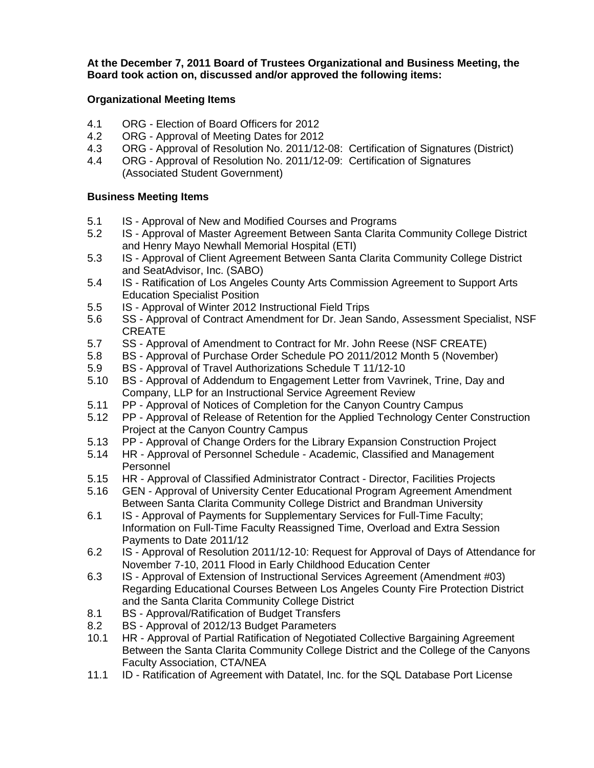**At the December 7, 2011 Board of Trustees Organizational and Business Meeting, the Board took action on, discussed and/or approved the following items:** 

## **Organizational Meeting Items**

- 4.1 ORG Election of Board Officers for 2012
- 4.2 ORG Approval of Meeting Dates for 2012
- 4.3 ORG Approval of Resolution No. 2011/12-08: Certification of Signatures (District)
- 4.4 ORG Approval of Resolution No. 2011/12-09: Certification of Signatures (Associated Student Government)

## **Business Meeting Items**

- 5.1 IS Approval of New and Modified Courses and Programs
- 5.2 IS Approval of Master Agreement Between Santa Clarita Community College District and Henry Mayo Newhall Memorial Hospital (ETI)
- 5.3 IS Approval of Client Agreement Between Santa Clarita Community College District and SeatAdvisor, Inc. (SABO)
- 5.4 IS Ratification of Los Angeles County Arts Commission Agreement to Support Arts Education Specialist Position
- 5.5 IS Approval of Winter 2012 Instructional Field Trips
- 5.6 SS Approval of Contract Amendment for Dr. Jean Sando, Assessment Specialist, NSF CREATE
- 5.7 SS Approval of Amendment to Contract for Mr. John Reese (NSF CREATE)
- 5.8 BS Approval of Purchase Order Schedule PO 2011/2012 Month 5 (November)
- 5.9 BS Approval of Travel Authorizations Schedule T 11/12-10
- 5.10 BS Approval of Addendum to Engagement Letter from Vavrinek, Trine, Day and Company, LLP for an Instructional Service Agreement Review
- 5.11 PP Approval of Notices of Completion for the Canyon Country Campus
- 5.12 PP Approval of Release of Retention for the Applied Technology Center Construction Project at the Canyon Country Campus
- 5.13 PP Approval of Change Orders for the Library Expansion Construction Project
- 5.14 HR Approval of Personnel Schedule Academic, Classified and Management Personnel
- 
- 5.15 HR Approval of Classified Administrator Contract Director, Facilities Projects<br>5.16 GEN Approval of University Center Educational Program Agreement Amendme 5.16 GEN - Approval of University Center Educational Program Agreement Amendment Between Santa Clarita Community College District and Brandman University
- 6.1 IS Approval of Payments for Supplementary Services for Full-Time Faculty; Information on Full-Time Faculty Reassigned Time, Overload and Extra Session Payments to Date 2011/12
- 6.2 IS Approval of Resolution 2011/12-10: Request for Approval of Days of Attendance for November 7-10, 2011 Flood in Early Childhood Education Center
- 6.3 IS Approval of Extension of Instructional Services Agreement (Amendment #03) Regarding Educational Courses Between Los Angeles County Fire Protection District and the Santa Clarita Community College District
- 8.1 BS Approval/Ratification of Budget Transfers
- 8.2 BS Approval of 2012/13 Budget Parameters
- 10.1 HR Approval of Partial Ratification of Negotiated Collective Bargaining Agreement Between the Santa Clarita Community College District and the College of the Canyons Faculty Association, CTA/NEA
- 11.1 ID Ratification of Agreement with Datatel, Inc. for the SQL Database Port License